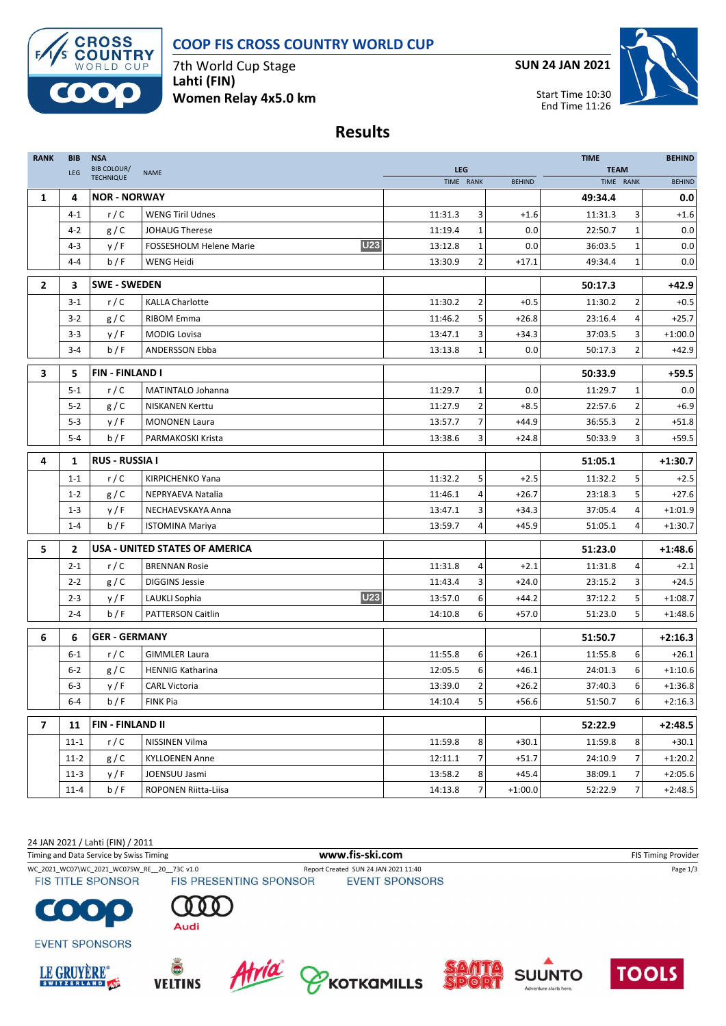# **COOP FIS CROSS COUNTRY WORLD CUP**



7th World Cup Stage **Lahti (FIN) Women Relay 4x5.0 km** **SUN 24 JAN 2021**



**Results**

| <b>RANK</b>    | <b>BIB</b> | <b>NSA</b>                             |                                              |                         |                |               | <b>TIME</b> |                |               |  |
|----------------|------------|----------------------------------------|----------------------------------------------|-------------------------|----------------|---------------|-------------|----------------|---------------|--|
|                | LEG        | <b>BIB COLOUR/</b><br><b>TECHNIQUE</b> | <b>NAME</b>                                  | <b>LEG</b><br>TIME RANK |                | <b>BEHIND</b> | <b>TEAM</b> | TIME RANK      | <b>BEHIND</b> |  |
| 1              | 4          | <b>NOR - NORWAY</b>                    |                                              |                         |                |               | 49:34.4     |                | 0.0           |  |
|                | $4 - 1$    | r/C                                    | <b>WENG Tiril Udnes</b>                      | 11:31.3                 | 3              | $+1.6$        | 11:31.3     | 3              | $+1.6$        |  |
|                | $4 - 2$    | g/C                                    | <b>JOHAUG Therese</b>                        | 11:19.4                 | $\mathbf{1}$   | 0.0           | 22:50.7     | $\mathbf 1$    | 0.0           |  |
|                | $4 - 3$    | y/F                                    | <b>U23</b><br><b>FOSSESHOLM Helene Marie</b> | 13:12.8                 | $\mathbf{1}$   | 0.0           | 36:03.5     | 1              | 0.0           |  |
|                | $4 - 4$    | b/F                                    | WENG Heidi                                   | 13:30.9                 | 2              | $+17.1$       | 49:34.4     | $\mathbf 1$    | 0.0           |  |
|                |            |                                        |                                              |                         |                |               |             |                |               |  |
| $\overline{2}$ | 3          | <b>SWE - SWEDEN</b>                    |                                              |                         |                |               | 50:17.3     |                | $+42.9$       |  |
|                | $3 - 1$    | r/C                                    | <b>KALLA Charlotte</b>                       | 11:30.2                 | 2              | $+0.5$        | 11:30.2     | 2              | $+0.5$        |  |
|                | $3 - 2$    | g/C                                    | <b>RIBOM Emma</b>                            | 11:46.2                 | 5              | $+26.8$       | 23:16.4     | 4              | $+25.7$       |  |
|                | $3 - 3$    | y/F                                    | <b>MODIG Lovisa</b>                          | 13:47.1                 | 3              | $+34.3$       | 37:03.5     | 3              | $+1:00.0$     |  |
|                | $3 - 4$    | b/F                                    | ANDERSSON Ebba                               | 13:13.8                 | $\mathbf{1}$   | 0.0           | 50:17.3     | 2              | $+42.9$       |  |
| 3              | 5          | <b>FIN-FINLAND I</b>                   |                                              |                         |                |               | 50:33.9     |                | $+59.5$       |  |
|                | $5 - 1$    | r/C                                    | MATINTALO Johanna                            | 11:29.7                 | $\mathbf{1}$   | 0.0           | 11:29.7     | 1              | 0.0           |  |
|                | $5 - 2$    | g/C                                    | <b>NISKANEN Kerttu</b>                       | 11:27.9                 | $\mathbf{2}$   | $+8.5$        | 22:57.6     | 2              | $+6.9$        |  |
|                | $5 - 3$    | y/F                                    | <b>MONONEN Laura</b>                         | 13:57.7                 | $\overline{7}$ | $+44.9$       | 36:55.3     | $\overline{2}$ | $+51.8$       |  |
|                | $5 - 4$    | b/F                                    | PARMAKOSKI Krista                            | 13:38.6                 | 3              | $+24.8$       | 50:33.9     | 3              | $+59.5$       |  |
| 4              | 1          | <b>RUS - RUSSIA I</b>                  |                                              |                         |                |               | 51:05.1     |                | +1:30.7       |  |
|                | $1 - 1$    | r/C                                    | <b>KIRPICHENKO Yana</b>                      | 11:32.2                 | 5              | $+2.5$        | 11:32.2     | 5              | $+2.5$        |  |
|                | $1 - 2$    | g/C                                    | NEPRYAEVA Natalia                            | 11:46.1                 | 4              | $+26.7$       | 23:18.3     | 5              | $+27.6$       |  |
|                | $1 - 3$    | y/F                                    | NECHAEVSKAYA Anna                            | 13:47.1                 | 3              | $+34.3$       | 37:05.4     | 4              | $+1:01.9$     |  |
|                | $1 - 4$    | b/F                                    | <b>ISTOMINA Mariya</b>                       | 13:59.7                 | 4              | $+45.9$       | 51:05.1     | 4              | $+1:30.7$     |  |
| 5              | 2          |                                        | <b>USA - UNITED STATES OF AMERICA</b>        |                         |                |               | 51:23.0     |                | $+1:48.6$     |  |
|                | $2 - 1$    | r/C                                    | <b>BRENNAN Rosie</b>                         | 11:31.8                 | 4              | $+2.1$        | 11:31.8     | 4              | $+2.1$        |  |
|                | $2 - 2$    | g/C                                    | <b>DIGGINS Jessie</b>                        | 11:43.4                 | 3              | $+24.0$       | 23:15.2     | 3              | $+24.5$       |  |
|                | $2 - 3$    | y/F                                    | <b>U23</b><br>LAUKLI Sophia                  | 13:57.0                 | 6              | $+44.2$       | 37:12.2     | 5              | $+1:08.7$     |  |
|                | $2 - 4$    | b/F                                    | <b>PATTERSON Caitlin</b>                     | 14:10.8                 | 6              | $+57.0$       | 51:23.0     | 5              | $+1:48.6$     |  |
| 6              | 6          | <b>GER - GERMANY</b>                   |                                              |                         |                |               | 51:50.7     |                | $+2:16.3$     |  |
|                | $6 - 1$    | r/C                                    | <b>GIMMLER Laura</b>                         | 11:55.8                 | 6              | $+26.1$       | 11:55.8     | 6              | $+26.1$       |  |
|                | $6 - 2$    | g/C                                    | <b>HENNIG Katharina</b>                      | 12:05.5                 | 6              | $+46.1$       | 24:01.3     | 6              | $+1:10.6$     |  |
|                | $6 - 3$    | y/F                                    | <b>CARL Victoria</b>                         | 13:39.0                 | $\overline{2}$ | $+26.2$       | 37:40.3     | 6              | $+1:36.8$     |  |
|                | $6 - 4$    | b/F                                    | <b>FINK Pia</b>                              | 14:10.4                 | 5 <sub>l</sub> | $+56.6$       | 51:50.7     | $6 \mid$       | $+2:16.3$     |  |
| $\overline{ }$ | 11         | FIN - FINLAND II                       |                                              |                         |                | 52:22.9       |             | $+2:48.5$      |               |  |
|                | $11 - 1$   | r/C                                    | NISSINEN Vilma                               | 11:59.8                 | 8              | $+30.1$       | 11:59.8     | 8              | $+30.1$       |  |
|                | $11-2$     | g/C                                    | <b>KYLLOENEN Anne</b>                        | 12:11.1                 | 7              | $+51.7$       | 24:10.9     | 7              | $+1:20.2$     |  |
|                | $11-3$     | y/F                                    | JOENSUU Jasmi                                | 13:58.2                 | 8              | +45.4         | 38:09.1     | 7              | $+2:05.6$     |  |
|                | $11 - 4$   | b/F                                    | ROPONEN Riitta-Liisa                         | 14:13.8                 | 7 <sup>1</sup> | $+1:00.0$     | 52:22.9     | 7              | $+2:48.5$     |  |

24 JAN 2021 / Lahti (FIN) / 2011

Timing and Data Service by Swiss Timing **WWW.fis-Ski.com www.fis-ski.com** FIS Timing Provider

WC\_2021\_WC07\WC\_2021\_WC07SW\_RE\_\_20\_\_73C v1.0 Report Created SUN 24 JAN 2021 11:40 Page 1/3

**EVENT SPONSORS** 

**FIS TITLE SPONSOR** 







C











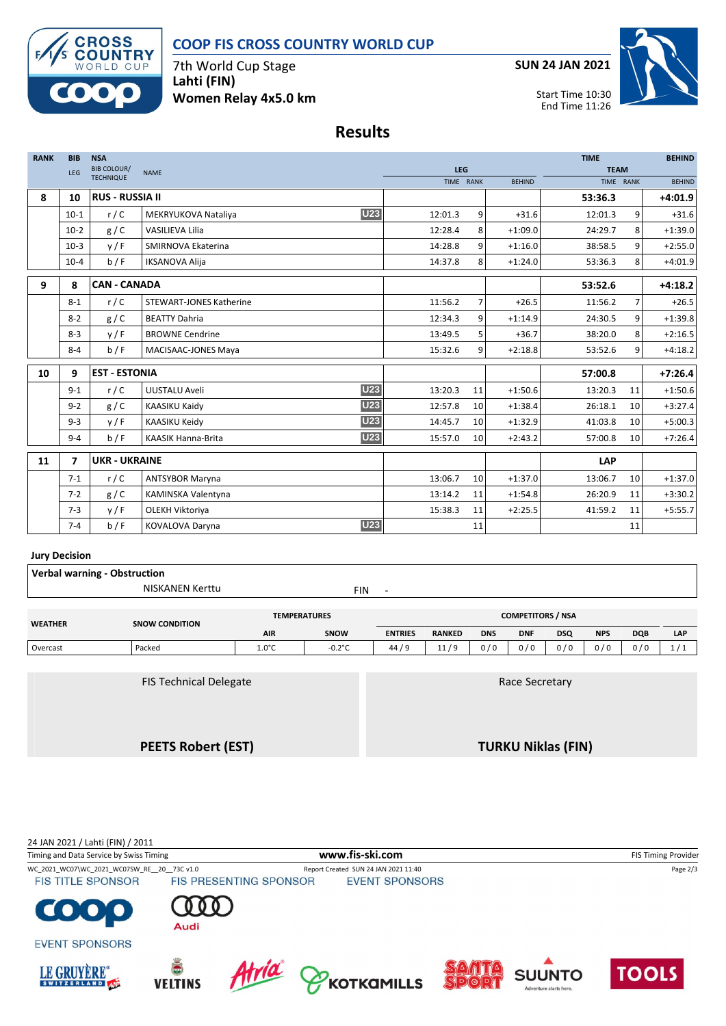# **COOP FIS CROSS COUNTRY WORLD CUP**



7th World Cup Stage **Lahti (FIN) Women Relay 4x5.0 km** **SUN 24 JAN 2021**



### **Results**

| <b>RANK</b> | <b>BIB</b>              | <b>NSA</b>             |                                         |            |    |               | <b>TIME</b> |                 | <b>BEHIND</b> |
|-------------|-------------------------|------------------------|-----------------------------------------|------------|----|---------------|-------------|-----------------|---------------|
|             | LEG                     | <b>BIB COLOUR/</b>     | <b>NAME</b>                             | <b>LEG</b> |    |               | <b>TEAM</b> |                 |               |
|             |                         | <b>TECHNIQUE</b>       |                                         | TIME RANK  |    | <b>BEHIND</b> | TIME RANK   |                 | <b>BEHIND</b> |
| 8           | 10                      | <b>RUS - RUSSIA II</b> |                                         |            |    |               | 53:36.3     |                 | $+4:01.9$     |
|             | $10-1$                  | r/C                    | <b>U23</b><br>MEKRYUKOVA Nataliya       | 12:01.3    | 9  | $+31.6$       | 12:01.3     | 9               | $+31.6$       |
|             | $10-2$                  | g/C                    | VASILIEVA Lilia                         | 12:28.4    | 8  | $+1:09.0$     | 24:29.7     | 8               | $+1:39.0$     |
|             | $10-3$                  | y/F                    | SMIRNOVA Ekaterina                      | 14:28.8    | 9  | $+1:16.0$     | 38:58.5     | 9               | $+2:55.0$     |
|             | $10 - 4$                | b / F                  | <b>IKSANOVA Alija</b>                   | 14:37.8    | 8  | $+1:24.0$     | 53:36.3     | 8               | $+4:01.9$     |
| 9           | 8                       | <b>CAN - CANADA</b>    |                                         |            |    |               | 53:52.6     |                 | $+4:18.2$     |
|             | $8 - 1$                 | r/C                    | <b>STEWART-JONES Katherine</b>          | 11:56.2    | 7  | $+26.5$       | 11:56.2     | $\overline{7}$  | $+26.5$       |
|             | $8 - 2$                 | g/C                    | <b>BEATTY Dahria</b>                    | 12:34.3    | 9  | $+1:14.9$     | 24:30.5     | 9               | $+1:39.8$     |
|             | $8 - 3$                 | V/F                    | <b>BROWNE Cendrine</b>                  | 13:49.5    | 5  | $+36.7$       | 38:20.0     | 8               | $+2:16.5$     |
|             | $8 - 4$                 | b/F                    | MACISAAC-JONES Maya                     | 15:32.6    | 9  | $+2:18.8$     | 53:52.6     | 9               | $+4:18.2$     |
| 10          | 9                       | <b>EST - ESTONIA</b>   |                                         |            |    |               | 57:00.8     |                 | $+7:26.4$     |
|             | $9 - 1$                 | r/C                    | <b>U23</b><br>UUSTALU Aveli             | 13:20.3    | 11 | $+1:50.6$     | 13:20.3     | 11              | $+1:50.6$     |
|             | $9 - 2$                 | g/C                    | <b>U23</b><br><b>KAASIKU Kaidy</b>      | 12:57.8    | 10 | $+1:38.4$     | 26:18.1     | 10              | $+3:27.4$     |
|             | $9 - 3$                 | y/F                    | <b>U23</b><br>KAASIKU Keidy             | 14:45.7    | 10 | $+1:32.9$     | 41:03.8     | 10 <sup>1</sup> | $+5:00.3$     |
|             | $9 - 4$                 | b/F                    | <b>U23</b><br><b>KAASIK Hanna-Brita</b> | 15:57.0    | 10 | $+2:43.2$     | 57:00.8     | 10 <sup>1</sup> | $+7:26.4$     |
| 11          | $\overline{\mathbf{z}}$ | <b>UKR - UKRAINE</b>   |                                         |            |    |               | <b>LAP</b>  |                 |               |
|             | $7 - 1$                 | r/C                    | <b>ANTSYBOR Maryna</b>                  | 13:06.7    | 10 | $+1:37.0$     | 13:06.7     | 10              | $+1:37.0$     |
|             | $7 - 2$                 | g/C                    | KAMINSKA Valentyna                      | 13:14.2    | 11 | $+1:54.8$     | 26:20.9     | 11              | $+3:30.2$     |
|             | $7 - 3$                 | y/F                    | OLEKH Viktoriya                         | 15:38.3    | 11 | $+2:25.5$     | 41:59.2     | 11              | $+5:55.7$     |
|             | $7 - 4$                 | b/F                    | <b>U23</b><br><b>KOVALOVA Daryna</b>    |            | 11 |               |             | 11              |               |

#### **Jury Decision**

| <b>Verbal warning - Obstruction</b> |                           |                 |                     |                          |                          |                           |            |            |            |            |            |
|-------------------------------------|---------------------------|-----------------|---------------------|--------------------------|--------------------------|---------------------------|------------|------------|------------|------------|------------|
|                                     | <b>NISKANEN Kerttu</b>    |                 | <b>FIN</b>          | $\overline{\phantom{a}}$ |                          |                           |            |            |            |            |            |
| <b>WEATHER</b>                      | <b>SNOW CONDITION</b>     |                 | <b>TEMPERATURES</b> |                          | <b>COMPETITORS / NSA</b> |                           |            |            |            |            |            |
|                                     |                           | <b>AIR</b>      | SNOW                | <b>ENTRIES</b>           | <b>RANKED</b>            | <b>DNS</b>                | <b>DNF</b> | <b>DSQ</b> | <b>NPS</b> | <b>DQB</b> | <b>LAP</b> |
| Overcast                            | Packed                    | $1.0^{\circ}$ C | $-0.2^{\circ}$ C    | 44/9                     | 11/9                     | 0/0                       | 0/0        | 0/0        | 0/0        | 0/0        | 1/1        |
|                                     |                           |                 |                     |                          |                          |                           |            |            |            |            |            |
| <b>FIS Technical Delegate</b>       |                           |                 |                     | Race Secretary           |                          |                           |            |            |            |            |            |
|                                     |                           |                 |                     |                          |                          |                           |            |            |            |            |            |
|                                     |                           |                 |                     |                          |                          |                           |            |            |            |            |            |
|                                     | <b>PEETS Robert (EST)</b> |                 |                     |                          |                          | <b>TURKU Niklas (FIN)</b> |            |            |            |            |            |

24 JAN 2021 / Lahti (FIN) / 2011 Timing and Data Service by Swiss Timing **WWW.fis-Ski.com www.fis-ski.com** FIS Timing Provider WC\_2021\_WC07\WC\_2021\_WC07SW\_RE\_\_20\_\_73C v1.0 Report Created SUN 24 JAN 2021 11:40 Page 2/3 **FIS TITLE SPONSOR EVENT SPONSORS**  $\bullet$  . C **JC** Audi **EVENT SPONSORS** Atria PKOTKAMILLS LE GRUYÈRE® **TOOLS SUUNTO VELTINS**